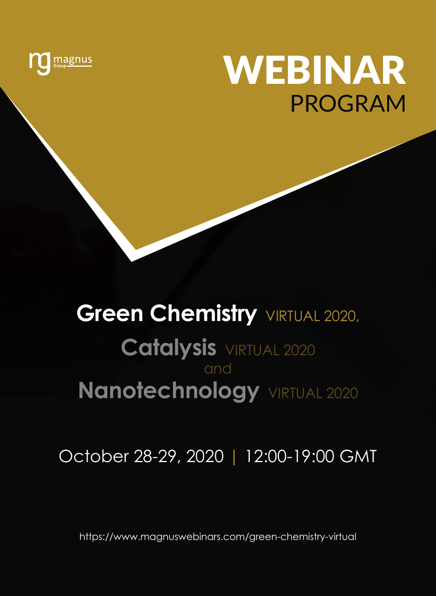

## wEBINAR Program

# **Green Chemistry VIRTUAL 2020,**

## **Catalysis** VIRTUAL 2020 and **Nanotechnology** VIRTUAL 2020

October 28-29, 2020 | 12:00-19:00 GMT

https://www.magnuswebinars.com/green-chemistry-virtual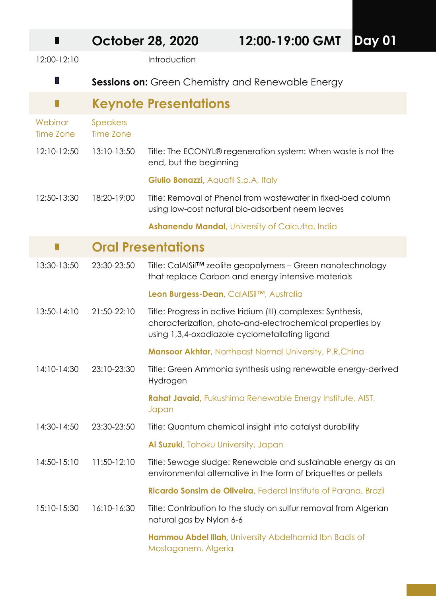| ш                    |                              | <b>October 28, 2020</b>              | 12:00-19:00 GMT                                                                                                                                                              | Day 01 |
|----------------------|------------------------------|--------------------------------------|------------------------------------------------------------------------------------------------------------------------------------------------------------------------------|--------|
| 12:00-12:10          |                              | Introduction                         |                                                                                                                                                                              |        |
| Ш                    |                              |                                      | Sessions on: Green Chemistry and Renewable Energy                                                                                                                            |        |
|                      |                              | <b>Keynote Presentations</b>         |                                                                                                                                                                              |        |
| Webinar<br>Time Zone | <b>Speakers</b><br>Time Zone |                                      |                                                                                                                                                                              |        |
| 12:10-12:50          | 13:10-13:50                  | end, but the beginning               | Title: The ECONYL® regeneration system: When waste is not the                                                                                                                |        |
|                      |                              | Giulio Bonazzi, Aquafil S.p.A, Italy |                                                                                                                                                                              |        |
| 12:50-13:30          | 18:20-19:00                  |                                      | Title: Removal of Phenol from wastewater in fixed-bed column<br>using low-cost natural bio-adsorbent neem leaves                                                             |        |
|                      |                              |                                      | Ashanendu Mandal, University of Calcutta, India                                                                                                                              |        |
|                      |                              | <b>Oral Presentations</b>            |                                                                                                                                                                              |        |
| 13:30-13:50          | 23:30-23:50                  |                                      | Title: CalAlSil™ zeolite geopolymers - Green nanotechnology<br>that replace Carbon and energy intensive materials                                                            |        |
|                      |                              |                                      | Leon Burgess-Dean, CalAISilTM, Australia                                                                                                                                     |        |
| 13:50-14:10          | 21:50-22:10                  |                                      | Title: Progress in active Iridium (III) complexes: Synthesis,<br>characterization, photo-and-electrochemical properties by<br>using 1,3,4-oxadiazole cyclometallating ligand |        |
|                      |                              |                                      | <b>Mansoor Akhtar, Northeast Normal University, P.R.China</b>                                                                                                                |        |
| 14:10-14:30          | 23:10-23:30                  | Hydrogen                             | Title: Green Ammonia synthesis using renewable energy-derived                                                                                                                |        |
|                      |                              | Japan                                | Rahat Javaid, Fukushima Renewable Energy Institute, AIST,                                                                                                                    |        |
| 14:30-14:50          | 23:30-23:50                  |                                      | Title: Quantum chemical insight into catalyst durability                                                                                                                     |        |
|                      |                              | Ai Suzuki, Tohoku University, Japan  |                                                                                                                                                                              |        |
| 14:50-15:10          | 11:50-12:10                  |                                      | Title: Sewage sludge: Renewable and sustainable energy as an<br>environmental alternative in the form of briquettes or pellets                                               |        |
|                      |                              |                                      | Ricardo Sonsim de Oliveira, Federal Institute of Parana, Brazil                                                                                                              |        |
| 15:10-15:30          | 16:10-16:30                  | natural gas by Nylon 6-6             | Title: Contribution to the study on sulfur removal from Algerian                                                                                                             |        |
|                      |                              | Mostaganem, Algeria                  | Hammou Abdel Illah, University Abdelhamid Ibn Badis of                                                                                                                       |        |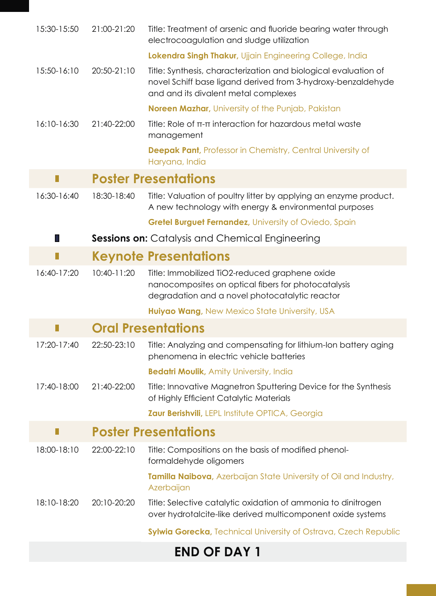| 15:30-15:50 | 21:00-21:20 | Title: Treatment of arsenic and fluoride bearing water through<br>electrocoagulation and sludge utilization                                                             |
|-------------|-------------|-------------------------------------------------------------------------------------------------------------------------------------------------------------------------|
|             |             | Lokendra Singh Thakur, Ujjain Engineering College, India                                                                                                                |
| 15:50-16:10 | 20:50-21:10 | Title: Synthesis, characterization and biological evaluation of<br>novel Schiff base ligand derived from 3-hydroxy-benzaldehyde<br>and and its divalent metal complexes |
|             |             | <b>Noreen Mazhar, University of the Punjab, Pakistan</b>                                                                                                                |
| 16:10-16:30 | 21:40-22:00 | Title: Role of $\pi$ - $\pi$ interaction for hazardous metal waste<br>management                                                                                        |
|             |             | <b>Deepak Pant, Professor in Chemistry, Central University of</b><br>Haryana, India                                                                                     |
| П           |             | <b>Poster Presentations</b>                                                                                                                                             |
| 16:30-16:40 | 18:30-18:40 | Title: Valuation of poultry litter by applying an enzyme product.<br>A new technology with energy & environmental purposes                                              |
|             |             | <b>Gretel Burguet Fernandez, University of Oviedo, Spain</b>                                                                                                            |
| Ш           |             | <b>Sessions on:</b> Catalysis and Chemical Engineering                                                                                                                  |
| П           |             | <b>Keynote Presentations</b>                                                                                                                                            |
| 16:40-17:20 | 10:40-11:20 | Title: Immobilized TiO2-reduced graphene oxide<br>nanocomposites on optical fibers for photocatalysis<br>degradation and a novel photocatalytic reactor                 |
|             |             | Huiyao Wang, New Mexico State University, USA                                                                                                                           |
|             |             | <b>Oral Presentations</b>                                                                                                                                               |
| 17:20-17:40 | 22:50-23:10 | Title: Analyzing and compensating for lithium-Ion battery aging<br>phenomena in electric vehicle batteries                                                              |
|             |             | <b>Bedatri Moulik, Amity University, India</b>                                                                                                                          |
| 17:40-18:00 | 21:40-22:00 | Title: Innovative Magnetron Sputtering Device for the Synthesis<br>of Highly Efficient Catalytic Materials                                                              |
|             |             | <b>Zaur Berishvili, LEPL Institute OPTICA, Georgia</b>                                                                                                                  |
| П           |             | <b>Poster Presentations</b>                                                                                                                                             |
| 18:00-18:10 | 22:00-22:10 | Title: Compositions on the basis of modified phenol-<br>formaldehyde oligomers                                                                                          |
|             |             | Tamilla Naibova, Azerbaijan State University of Oil and Industry,<br>Azerbaijan                                                                                         |
| 18:10-18:20 | 20:10-20:20 | Title: Selective catalytic oxidation of ammonia to dinitrogen<br>over hydrotalcite-like derived multicomponent oxide systems                                            |
|             |             | Sylwia Gorecka, Technical University of Ostrava, Czech Republic                                                                                                         |

### **END OF DAY 1**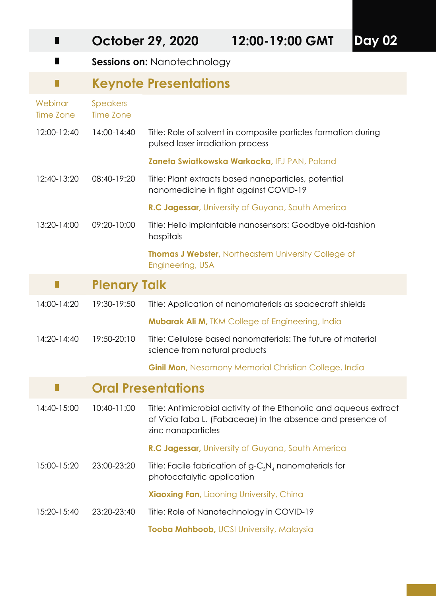| Ш                           |                       | <b>October 29, 2020</b>                                                | 12:00-19:00 GMT                                                                                                                  | <b>Day 02</b> |
|-----------------------------|-----------------------|------------------------------------------------------------------------|----------------------------------------------------------------------------------------------------------------------------------|---------------|
| П                           |                       | <b>Sessions on: Nanotechnology</b>                                     |                                                                                                                                  |               |
| Н                           |                       | <b>Keynote Presentations</b>                                           |                                                                                                                                  |               |
| Webinar<br><b>Time Zone</b> | Speakers<br>Time Zone |                                                                        |                                                                                                                                  |               |
| 12:00-12:40                 | 14:00-14:40           | pulsed laser irradiation process                                       | Title: Role of solvent in composite particles formation during                                                                   |               |
|                             |                       |                                                                        | Zaneta Swiatkowska Warkocka, IFJ PAN, Poland                                                                                     |               |
| 12:40-13:20                 | 08:40-19:20           |                                                                        | Title: Plant extracts based nanoparticles, potential<br>nanomedicine in fight against COVID-19                                   |               |
|                             |                       |                                                                        | R.C Jagessar, University of Guyana, South America                                                                                |               |
| 13:20-14:00                 | 09:20-10:00           | Title: Hello implantable nanosensors: Goodbye old-fashion<br>hospitals |                                                                                                                                  |               |
|                             |                       | Engineering, USA                                                       | <b>Thomas J Webster, Northeastern University College of</b>                                                                      |               |
| Н                           | <b>Plenary Talk</b>   |                                                                        |                                                                                                                                  |               |
| 14:00-14:20                 | 19:30-19:50           |                                                                        | Title: Application of nanomaterials as spacecraft shields                                                                        |               |
|                             |                       |                                                                        | <b>Mubarak Ali M, TKM College of Engineering, India</b>                                                                          |               |
| 14:20-14:40                 | 19:50-20:10           | science from natural products                                          | Title: Cellulose based nanomaterials: The future of material                                                                     |               |
|                             |                       |                                                                        | <b>Ginil Mon, Nesamony Memorial Christian College, India</b>                                                                     |               |
| ш                           |                       | <b>Oral Presentations</b>                                              |                                                                                                                                  |               |
| 14:40-15:00                 | 10:40-11:00           | zinc nanoparticles                                                     | Title: Antimicrobial activity of the Ethanolic and aqueous extract<br>of Vicia faba L. (Fabaceae) in the absence and presence of |               |
|                             |                       |                                                                        | R.C Jagessar, University of Guyana, South America                                                                                |               |
| 15:00-15:20                 | 23:00-23:20           | photocatalytic application                                             | Title: Facile fabrication of $g - C_3 N_4$ nanomaterials for                                                                     |               |
|                             |                       |                                                                        | <b>Xiaoxing Fan, Liaoning University, China</b>                                                                                  |               |
| 15:20-15:40                 | 23:20-23:40           |                                                                        | Title: Role of Nanotechnology in COVID-19                                                                                        |               |
|                             |                       |                                                                        | Tooba Mahboob, UCSI University, Malaysia                                                                                         |               |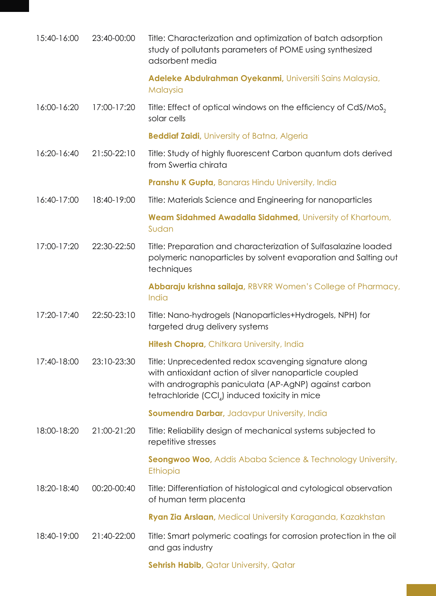| 15:40-16:00 | 23:40-00:00 | Title: Characterization and optimization of batch adsorption<br>study of pollutants parameters of POME using synthesized<br>adsorbent media                                                                              |
|-------------|-------------|--------------------------------------------------------------------------------------------------------------------------------------------------------------------------------------------------------------------------|
|             |             | Adeleke Abdulrahman Oyekanmi, Universiti Sains Malaysia,<br>Malaysia                                                                                                                                                     |
| 16:00-16:20 | 17:00-17:20 | Title: Effect of optical windows on the efficiency of CdS/MoS <sub>2</sub><br>solar cells                                                                                                                                |
|             |             | <b>Beddiaf Zaidi</b> , University of Batna, Algeria                                                                                                                                                                      |
| 16:20-16:40 | 21:50-22:10 | Title: Study of highly fluorescent Carbon quantum dots derived<br>from Swertia chirata                                                                                                                                   |
|             |             | Pranshu K Gupta, Banaras Hindu University, India                                                                                                                                                                         |
| 16:40-17:00 | 18:40-19:00 | Title: Materials Science and Engineering for nanoparticles                                                                                                                                                               |
|             |             | Weam Sidahmed Awadalla Sidahmed, University of Khartoum,<br>Sudan                                                                                                                                                        |
| 17:00-17:20 | 22:30-22:50 | Title: Preparation and characterization of Sulfasalazine loaded<br>polymeric nanoparticles by solvent evaporation and Salting out<br>techniques                                                                          |
|             |             | Abbaraju krishna sailaja, RBVRR Women's College of Pharmacy,<br>India                                                                                                                                                    |
| 17:20-17:40 | 22:50-23:10 | Title: Nano-hydrogels (Nanoparticles+Hydrogels, NPH) for<br>targeted drug delivery systems                                                                                                                               |
|             |             | Hitesh Chopra, Chitkara University, India                                                                                                                                                                                |
| 17:40-18:00 | 23:10-23:30 | Title: Unprecedented redox scavenging signature along<br>with antioxidant action of silver nanoparticle coupled<br>with andrographis paniculata (AP-AgNP) against carbon<br>tetrachloride (CCI) induced toxicity in mice |
|             |             | Soumendra Darbar, Jadavpur University, India                                                                                                                                                                             |
| 18:00-18:20 | 21:00-21:20 | Title: Reliability design of mechanical systems subjected to<br>repetitive stresses                                                                                                                                      |
|             |             | Seongwoo Woo, Addis Ababa Science & Technology University,<br><b>Ethiopia</b>                                                                                                                                            |
| 18:20-18:40 | 00:20-00:40 | Title: Differentiation of histological and cytological observation<br>of human term placenta                                                                                                                             |
|             |             | Ryan Zia Arslaan, Medical University Karaganda, Kazakhstan                                                                                                                                                               |
| 18:40-19:00 | 21:40-22:00 | Title: Smart polymeric coatings for corrosion protection in the oil<br>and gas industry                                                                                                                                  |
|             |             | Sehrish Habib, Qatar University, Qatar                                                                                                                                                                                   |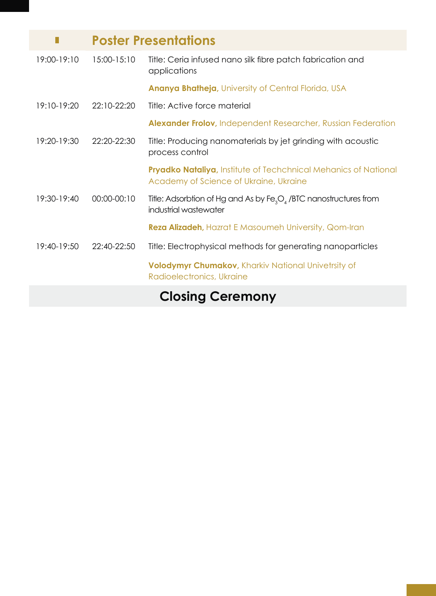|                 | <b>Poster Presentations</b> |                                                                                                                   |
|-----------------|-----------------------------|-------------------------------------------------------------------------------------------------------------------|
| 19:00-19:10     | 15:00-15:10                 | Title: Ceria infused nano silk fibre patch fabrication and<br>applications                                        |
|                 |                             | Ananya Bhatheja, University of Central Florida, USA                                                               |
| $19:10-19:20$   | 22:10-22:20                 | Title: Active force material                                                                                      |
|                 |                             | <b>Alexander Frolov, Independent Researcher, Russian Federation</b>                                               |
| $19:20 - 19:30$ | $22:20-22:30$               | Title: Producing nanomaterials by jet grinding with acoustic<br>process control                                   |
|                 |                             | <b>Pryadko Nataliya</b> , Institute of Techchnical Mehanics of National<br>Academy of Science of Ukraine, Ukraine |
| $19:30-19:40$   | 00:00-00:10                 | Title: Adsorbtion of Hg and As by $Fe_{3}O_{4}$ /BTC nanostructures from<br>industrial wastewater                 |
|                 |                             | <b>Reza Alizadeh</b> , Hazrat E Masoumeh University, Qom-Iran                                                     |
| 19:40-19:50     | 22:40-22:50                 | Title: Electrophysical methods for generating nanoparticles                                                       |
|                 |                             | <b>Volodymyr Chumakov, Kharkiv National Univetrsity of</b><br>Radioelectronics, Ukraine                           |
|                 |                             |                                                                                                                   |

## **Closing Ceremony**